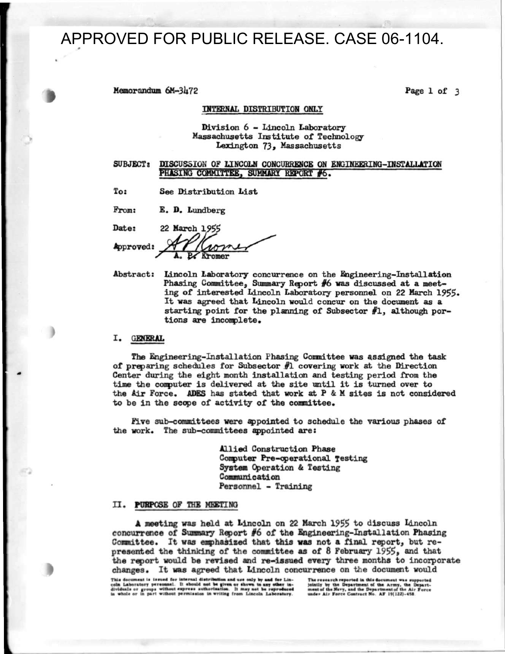# APPROVED FOR PUBLIC RELEASE. CASE 06-1104.

Memorandum 6M-3U72 Page 1 of 3

#### INTERNAL DISTRIBUTION ONLY

### Division 6 - Lincoln Laboratory Massachusetts Institute of Technology Lexington 73» Massachusetts

# SUBJECT: DISCUSSION OF LINCOLN CONCURRENCE ON ENGINEERING-INSTALLATION PHASING COMMITTEE, SUMMARY REPORT #6.

To: See Distribution List

From: E. D. Lundberg

Date: 22 March 1955 Approved: *f\ r ,f(yi<ry7sJ L -y^' <u>remer</u>* 

Abstract: Lincoln Laboratory concurrence on the Engineering-Installation Phasing Committee, Summary Report  $#6$  was discussed at a meeting of interested Lincoln Laboratory personnel on 22 March 1955. It was agreed that Lincoln would concur on the document as a starting point for the planning of Subsector  $#1$ , although portions are incomplete.

# I. GENERAL

The Engineering-Installation Phasing Committee was assigned the task of preparing schedules for Subsector  $#1$  covering work at the Direction Center during the eight month installation and testing period from the time the computer is delivered at the site until it is turned over to the Air Force. ADES has stated that work at P & M sites is not considered to be in the scope of activity of the committee.

Five sub-committees were appointed to schedule the various phases of the work. The sub-committees appointed are:

> Allied Construction Phase Computer Pre-operational Testing System Operation & Testing Communication Personnel - Training

### II. PURPOSE OF THE MEETING

A meeting was held at Lincoln on 22 March 1955 to discuss Lincoln concurrence of Summary Report  $#6$  of the Engineering-Installation Phasing Committee. It was emphasized that this was not a final report, but represented the thinking of the committee as of 8 February 1955, and that the report would be revised and re-issued every three months to incorporate changes. It was agreed that Lincoln concurrence on the document would

This document is issued for internal distribution and use only by and for Lin-<br>coin Laboratory personnel. It should not be given or shown to any other in-<br>dividuals or groups without express authorisation. It may not be re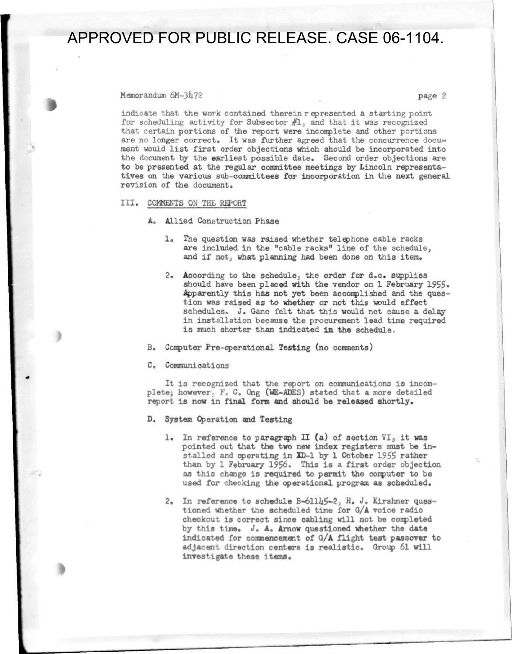APPROVED FOR PUBLIC RELEASE. CASE 06-1104.

Memorandum 6M-3472 **page 2** 

indicate that the work contained therein represented a starting point for scheduling activity for Subsector  $#1<sub>2</sub>$  and that it was recognized that certain portions of the report were incomplete and other portions are no longer correct. It was further agreed that the concurrence document would list first order objections which should be incorporated into the document by the earliest possible date. Second order objections are to be presented at the regular committee meetings by Lincoln representatives on the various sub-committees for incorporation in the next general revision of the document.

III . COMMENTS ON THE REPORT

- A. Allied Construction Phase
	- The question was raised whether telephone cable racks are included in the "cable racks" line of the schedule, and if not, what planning had been done on this item.
	- 2. According to the schedule, the order for  $d_{\circ}c_{\circ}$  supplies should have been placed with the vendor on 1 February 1955. Apparently this has not yet been accomplished and the question was raised as to whether or not this would effect schedules. J. Gano felt that this would not cause a delayin installation because the procurement lead time required is much shorter than indicated in the schedule.
- B. Computer Pre-operational Testing (no comments)
- C. Communications

It is recognized that the report on communications is incomplete; however, F. C. Ong (WE-ADES) stated that a more detailed report is now in final form and should be released shortly.

D. System Operation and Testing

- 1. In reference to paragraph II (a) of section  $VI<sub>5</sub>$  it was pointed out that the two new index registers must be installed and operating in  $CD-1$  by 1 October 1955 rather than by 1 February 1956. This is a first order objection as this change is required to permit the computer to be used for checking the operational program as scheduled.
- 2. In reference to schedule  $B=61115-2$ , H. J. Kirshner questioned whether the scheduled time for 0/A voice radio checkout is correct since cabling will not be completed by this time. J. A. Arnow questioned whether the date indicated for commencement of 0/A flight test passover to adjacent direction centers is realistic. Group 61 will investigate these items.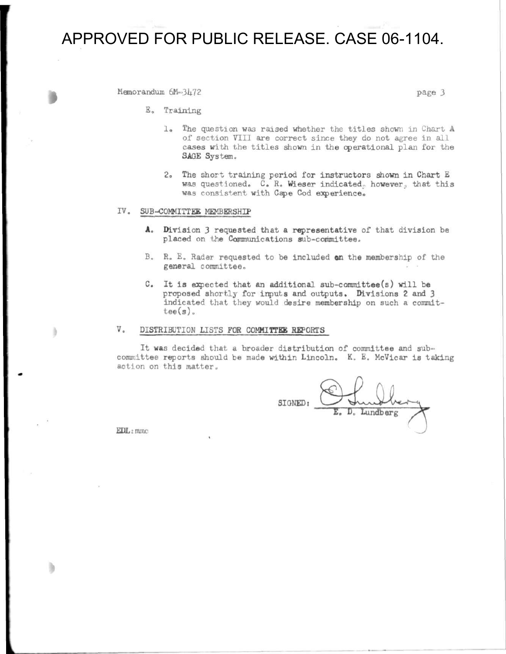# APPROVED FOR PUBLIC RELEASE. CASE 06-1104.

Memorandum  $6M=3472$ 

E. Training

- 1. The question was raised whether the titles shown in Chart A of section VIII are correct since they do not agree in all cases with the titles shown in the operational plan for the SAGE System.
- 2. The short training period for instructors shown in Chart E was questioned. C. R. Wieser indicated, however, that this was consistent with Cape Cod experience.

### IV. SUB-COMMITTEE MEMBERSHIP

- A. Division 3 requested that a representative of that division be placed on the Communications sub-committee.
- $B.$   $R.$   $E.$  Rader requested to be included on the membership of the general committee.
- C. It is expected that an additional sub-committee(s) will be proposed shortly for inputs and outputs. Divisions 2 and 3 indicated that they would desire membership on such a commit $tee(s)$ .

# V. DISTRIBUTION LISTS FOR COMMITTEE REPORTS

It was decided that a broader distribution of committee and subcommittee reports should be made within Lincoln. K. E. McVicar is taking action on this matter.

SIONEDi **n**  Lundberg

 $EDL$ ; mmc